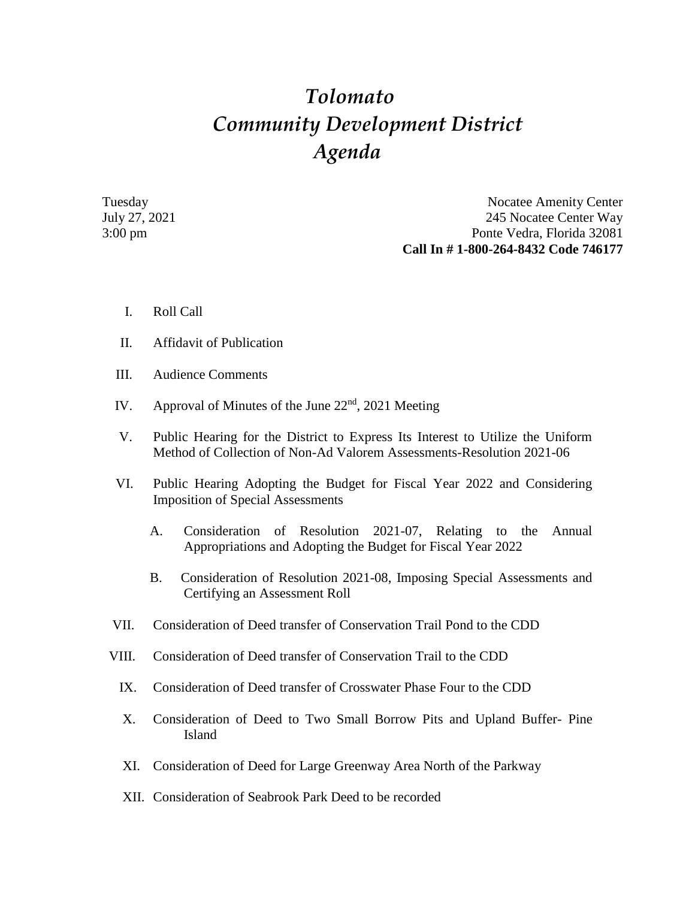## *Tolomato Community Development District Agenda*

Tuesday Nocatee Amenity Center July 27, 2021 245 Nocatee Center Way 3:00 pm Ponte Vedra, Florida 32081 **Call In # 1-800-264-8432 Code 746177**

- I. Roll Call
- II. Affidavit of Publication
- III. Audience Comments
- IV. Approval of Minutes of the June  $22<sup>nd</sup>$ , 2021 Meeting
- V. Public Hearing for the District to Express Its Interest to Utilize the Uniform Method of Collection of Non-Ad Valorem Assessments-Resolution 2021-06
- VI. Public Hearing Adopting the Budget for Fiscal Year 2022 and Considering Imposition of Special Assessments
	- A. Consideration of Resolution 2021-07, Relating to the Annual Appropriations and Adopting the Budget for Fiscal Year 2022
	- B. Consideration of Resolution 2021-08, Imposing Special Assessments and Certifying an Assessment Roll
- VII. Consideration of Deed transfer of Conservation Trail Pond to the CDD
- VIII. Consideration of Deed transfer of Conservation Trail to the CDD
	- IX. Consideration of Deed transfer of Crosswater Phase Four to the CDD
	- X. Consideration of Deed to Two Small Borrow Pits and Upland Buffer- Pine Island
	- XI. Consideration of Deed for Large Greenway Area North of the Parkway
	- XII. Consideration of Seabrook Park Deed to be recorded